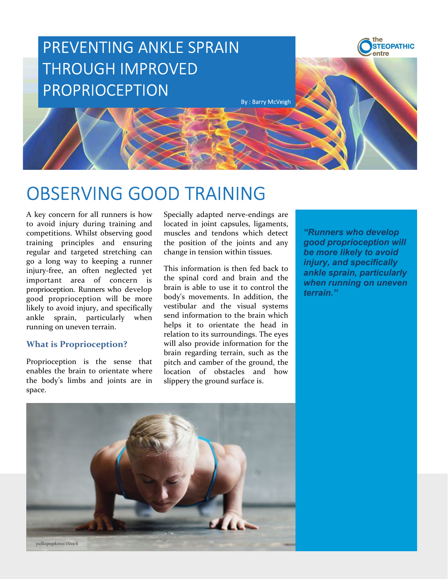

**COBSERVING GOOD TRAINING**<br>
A key concern for all runners is how Specially adapted neve-endings are<br>
to avoid injury during training and located in joint capsules, ligaments,<br>
competitions. Whilst observing good muscles an

space.

**CBSERVING GOOD TRAINING**<br> **CBSERVING GOOD TRAINING**<br>
A key concern for all runners is how Specially adapted new-endings are<br>
to avoid injury during training and located in joint capsules, ligaments,<br>
competitions. Whilst Proprioception is the sense that enables the brain to orientate where the body's limbs and joints are in **Send information**<br> **Send in the brain in the brain which controlled in formation**<br> **Send in space in formation** the position of the brain of the position of the brain of the brain of the brain of the brain and the princip **Example 18 and 18 and 18 and 18 and 18 and 18 and 18 and 18 and 18 and 18 and 18 and 18 and 18 and 18 and 18 and 18 and 18 and 18 and 18 and 18 and 18 and 18 and 18 and 18 and 18 and 18 and 18 and 18 and 18 and 18 and 18 Example 18 and tend to its surrounding** secondly adapted nerve-endings are located in joint capsules, ligaments, the position of the joints and any **good proprioception will** change in tension within tissues. **The more li Solution Solution**<br> **Solution** Specially adapted nerve-endings are located in joint capsules, ligaments, muscles and tendons which detect "Runners who develop good proprioception will the position of the joints and any go **blooduring**<br> **brain regarding the system of the system scheme of the system in init capsule, ligarnets, muscles and tendons which detect**  $\frac{m}{2}$  **"Runners who develop the position of the joints and any**  $\frac{m}{2}$  **good pr DDTRAINING**<br>
Specially adapted nerve-endings are<br>
muscles and tendoms which detect<br>
members and cambons which detect<br>
the position of the joints and any<br> **condensity to avoid**<br>
change in tension within tissues.<br> **EVALUATE Specially adapted nerve-endings are specially adapted nerve-endings are located in joint capsules, ligaments, the position of the joints and any specifically change in tension within tissues. This information is then fed** Specially adapted nerve-endings are<br>Specially adapted nerve-endings are<br>located in joint capsules, ligaments,<br>muscles and tendons which detect<br>the position of the joints and any<br>the position of the joints and any<br>the groun

terrain."

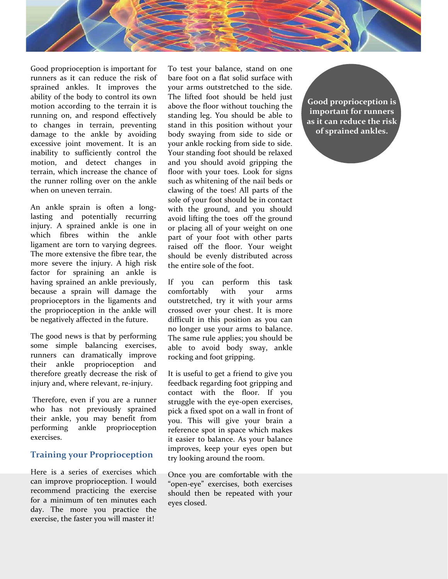

manity to surricently control me for standary to control mention, and detect changes in and you should avoid gripping the termin, which increase the chance of floor with your toes. Look for signs when on uneven termin. So motion, and edect changes in and you should avoid avond proping the studing over the retrain, which increase the chance of floor with your toes Look for signs the runner rolling over on the ankle such as whitening of the n terami, wnich increase the chance of more with your tose. Look for signs<br>the trumer rolling over on the ankle such as whitening of the nail beds or<br>when on uneven terrain. Claiming of the tores! All parts of the<br>An ankle s the runner rotining over on the ankle such as which may be fore an losts of the remembers of the most propriate that the ground, and you should be in contact An ankle sprain is often a long-width the ground, and you should when on uneven terrain.<br>
sole of your foot should be in contact<br>
An analke sprain is often a long-<br>
sole of your foot should be in contact<br>
lasting and potentially recurring avoid lifting the toses off the ground<br>
highing. An ankle sprain is often a long<sup>s so</sup> so of your front should be in contact<br>lasting and potentially recurring avoid lifting the toes off the ground<br>injury. A sprained ankle is one in or placing all of your weight on one<br>wh assing and poetntauly recurring avoid lifting the toes off the ground points. A sprained ankle is one in or placing all of your weight on one which fibres within the ankle part of your foot with other parts principalle a r mumy. A spramed ankie is one in or placing all of your weight on one in the security of the more exerestive the fibre to rating the more exerest the interpret and the security. A high risk the entire sole of the foot. Your

exercises.

Solution and proporation is important for To test your balance, stand on one<br>streaments as it can reduce the risk of bare foot on a flat solid surface with<br>sprained ankles, it improves the your arms outstretched to the sid Sood proprioception is important for To test your balance, stand on one<br>runners as it can reduce the risk of bare foot on a flat solid surface with<br>ability of the body to control its wore the lifted foot should be held jus Good proprioception is important for To test your balance, stand on one<br>struments as it can reduce the risk of bare foot on a flat solid surface with<br>sprained ankeles. It improves the your arms outstretched to the side.<br>Th Cood proprioception is important for To test your balance, stand on one<br>runners as it can reduce the risk of bare foot on a flat solid surface with<br>sprained ankles. It improves the your arms outstretched to the side.<br>Highi Cood proprioception is important for To test your balance, stand on one<br>runners as it can reduce the risk of bare foot on a flat solid surface with<br>sprained ankles. It improves the your arms outstretched to the side.<br>Furni Good proprioception is important for To test your balance, stand on one runners as it can reduce the risk of bare foot on a flat solid surface with sprained ankles. It improves the bour arms outstretched to the side.<br>
and Good proprioception is important for To test your balance, stand on one<br>runners as it can reduce the risk of bare foot on a flat solid surface with<br>spained ankles. It improves the your arms outstretched to the side.<br>Intuit Good proprioception is important for To test your balance, stand on one<br>runners as it can reduce the risk of bare foot on a flat solid surface with<br>sprained ankles. It improves the your arms outstretched to the side.<br>The d oto-<br>polynove-polynomials in the tear, the Source of the first of the signature of the signation<br>of the body to control its own The lifted foot should be held just<br>ability of the body to control its own The lifted foot sho more as to tan reade to the brigad and the inter some in the same of the brigadity of the brigadity of the brigadity of the brigadity of the brigadity of the brigadity of the brigadity of the brigadity of the diffused but spinned and and the sprain is a bout which we see that the spain of the spain of the body to control its only the lifted foot should be held just<br>moniton according to the terrain it is above the floor without touching the<br> any or me boxy is the more of spain and report to the more than the matter of small of the matter of small of the sprained for the matter for the matter of small of the and the spain deficitively stand in this position wit motion accoung to the chain at a above the most wandel of the spation without your standard damage to the ankiel by avoiding leg. You should be able to iding the to the angular correlation with the position without your an For the analysis of the mode way in the space is the control or changes in terrain, preventing stand in this position without your<br>decoragne to the ankle by avoiding boot waying from side to side or<br>decreasive joint moveme to comage in central, petching same in the pronout will be added by avoiding body swaying from side to side or<br>
excessive joint movement. It is an you anale rocking from side to side or<br>
imability to sufficiently control t annaly contracts of the most of the most of the most of the most of the most of the most of the sole of the function and detect changes in and you should avoid gripping the tranin, which increase the changes in and you sho To test your balance, stand on one<br>bare foot on a flat solid surface with<br>your arms outstretched to the side.<br>The lifted foot should be held just<br>standing leg. You should be held just<br>standing leg. You should be able to<br>st To test your balance, stand on one<br>bare foot on a flat solid surface with<br>your arms outstretched to the side.<br>The lifted foot should be held just<br>above the floor without touching the<br>standing leg. You should be able to<br>sim To test your balance, stand on one<br>bare foot on a flat solid surface with<br>your arms outstretched to the side.<br>The lifted foot should be held just<br>standing leg. You should be able to<br>standing leg. You should be able to<br>stan To test your balance, stand on one<br>bare foot on a flat solid surface with<br>your arms outstretched to the side.<br>The lifted foot should be held just<br>anding leg. You should be beld just<br>standing leg. You should be beld to side To test your balance, stand on one<br>bare foot on a flat solid surface with<br>your arms outstretched to the side.<br>The lifted foot wholou be held just<br>standing leg. You should be held is important for runners<br>standing leg. You To test your balance, stand on one<br>bare foot on a flat solid surface with<br>your arms outstretched to the side.<br>The lifted foot should be held just<br>standing leg. You should be able to<br>standing leg. You should be able to<br>body To test your balance, stand on one<br>pour arms outstretched to the side.<br>The lifted foot should be held just<br>the lifted foot should be held just<br>standing leg. You should be able to<br>standing leg. You should be able to importa To test your balance, stand on one<br>pour arms outstretched to the side.<br>The lifted foot should be held just<br>the iffed foot should be held just<br>showe the floor without touching the<br>standing leg, You should be able to importa To test your balance, stand on one<br>bare foot on a flat solid surface with<br>your arms outstretched to the side.<br>The lifted foot should be held just<br>standing leg. You should be held is<br>standing leg. You should be able to<br>stan To test your balance, stand on one<br>bare foot on a flat solid surface with<br>byour arms outstretched to the side.<br>The lifted foot should be held just<br>showe the floor without touching the standing leg. You should be able to<br>st To test your balance, stand on one<br>pour arms outstretched to the side.<br>The lifted foot should be held just<br>above the floor without touching the<br>standing leg. You should be able to<br>stand in this position without your<br>stand To test your balance, stand on one<br>
bare foot on a flat solid surface with<br>
The lifted foot should be held just<br>
above the floor without touching the<br>
standing leg. You should be able to<br>
stand in this position without you To test your balance, stand on one<br>bare foot on a flat solid surface with<br>pour arms outstretched to the side.<br>The lifted foot should be held just<br>standing leg. You should be able to<br>standing leg. You should be able to<br>impo bare foot on a flat solid surface with<br>The lifted foot should be held just<br>The lifted foot should be held just<br>above the floor without touching the<br>standing leg, You should be able to<br>stand in this position without your<br>as your arms outstretched to the side.<br>The lifted foot should be held just<br>above the floor without touching the<br>standing leg. You should be able to<br>stand in this position without your sind for runners<br>body swaying from side t The must consider the observation of the more and the this position without touching the standing leg. You should be able to said than the body swaying from side to side of sprained ankles, body swaying from side to side o above the moot window to denote the standing leg. You should be able to interval and in this position without your as it can reduce the risk your and you should be relaxed for side or symples the floor with your toes. Look standing is four should be under the sixten of said in this position without your as it can reduce the risk body swaying from side to side or with your tanding foot should be relaxed and you should avoid gripping the summa stand in this position which will be related by suring from side to side or your shall your should avoid gripping the final be related Your standing for should avoid gripping the nail beads of should avoid gripping the nai bout standing from since to suce to suce the stand you should be relaxed from side to side.<br>How ratading for should be relaxed about the value of the origin the suce of the color of the color of the sole of your foot shoul you anase voceing from sac to sace.<br>Your standing foot should be relaxed<br>and you should avoid gripping the<br>such as whitening of the nail beds or<br>classing of the tots! All parts of the<br>calse of your foot should be in contac From summing for a noutrinous and vot chance to the nail best of the nail best of claving of the toes! All parts of the column of the rotated with the ground, and you should be in contact calculation of plays and you shoul and you snow<br>at you are such as whitening of the nail beds or<br>such as whitening of the real beds or<br>such as whitening of the real All parts of the<br>sole of your foot should be in contact<br>with the ground, and you should<br>avoi noot wan you toos. Look to a spanned that the constrained by the mail beds or clawing of the toes! All parts of the with the ground, and you should avoid lifting the toes off the ground avoid lifting the toes off the groun

clawing of the toes! All parts of the conductors sole of your foot should be in contact<br>with the ground, and you should be in contact<br>with the ground, and you should<br>or placing all of your weight on one<br>part of your foot w sole of your foot should be m contact<br>with the ground, and you should<br>avoid lifting the toes off the ground<br>part of your veight and optom one<br>part of your veight of the floor. Your veight<br>should be evenly distributed acros with the ground, and you should lifting the toes off the ground<br>or placing all of your vocight on one<br>part of your foot with other parts<br>raised off the floor. Your weight<br>should be evenly distributed across<br>the entire sole

When the masket with the masket and the masket and the masket with the masket and the part of your foot with the masket of the sine and the section of the sine and the particular and analysis. If you can perform this task meantent are torn to varying angereoss. raised off the floor. Your weight<br>meane are comes to which are the floor. Your weight<br>more extensive the fibre tear, the should be evenly distributed across<br>more severe the injury. A having an ankle is a series of the interaction of the signated proprise and the energy energy energy and but a spain will damage the comfortably with your arms proprioceptions in the ligaments and outstretched, try it with because a sprain will damage the comfortably with your arms<br>proprioceptors in the ligaments and outstreteched, try it with your arms<br>the proprioception in the ankle will crossed over your chest. It is more<br>be negatively af proprioceptors in the ligaments and outstretched, try it with your arms<br>the proprioception in the ankie will crossed over your chest. It is more<br>be negatively affected in the future. difficult in this position as you can<br>T the proprioception in the ankle will crossed over your chest. It is more be negatively affected in the future. difficult in this position as you can molonger use your smost observation as your should be some simple balanci be negatively affected in the future. diffluit in this position as you can<br>The good news is that by performing The same rule applies; you should be<br>some simple balancing cercelsos. able to avoid body sway, ankle<br>numers can The good news is that by performing and onger use your arms to balance simple balancing exercises, able to avoid body sway, ankle numers can dramatically improve rocking and foot gripping. Thus the more therefore greatly d The good news is that by performing The same rule applies; you should be some simple balancing exercises, able to avoid body sway, ankle runners can dramatically improve rocking and foot gripping. therefore greatly correc avon unring the toes or the ground<br>or placing all of your weight on one<br>part of your foot with other parts<br>raised off the floor. Your weight<br>should be evenly distributed across<br>the entire sole of the foot.<br>If you can perfo or placing all or your weight on one<br>part of your foot with other parts<br>raised off the floor. Your weight<br>should be evenly distributed across<br>the entire sole of the foot.<br>If you can perform this task<br>comfortably with your part of your toot with other parts<br>raised off the floor. Your weight<br>should be evenly distributed across<br>the entire sole of the foot.<br>If you can perform this task<br>confortably with your arms<br>constretched, try it with your a raised or the floor. Your weight<br>should be evenly distributed across<br>the entire sole of the foot.<br>If you can perform this task<br>comfortably with your arms<br>crossed over your chest. It is more<br>difficult in this position as yo should be evenly asstrabuted across<br>the entire sole of the foot.<br>If you can perform this task<br>comfortably with your arms<br>curressed over your chest. It is more<br>difficult in this position as you can<br>no longer use your arms t the entire sole of the toot.<br>
If you can perform this task<br>
confortably with your arms<br>
contstretched, try it with your arms<br>
constretched, try it with your arms<br>
crossed over your chest. It is more<br>
ablificult in this pos If you can perform this task<br>comfortably with your arms<br>constretched, try it with your arms<br>crossed over your chest. It is more<br>difficult in this position as you can<br>mo longer use your arms to balance.<br>The same rule applie comforably with your arms<br>constretched, try it with your arms<br>crossed over your chest. It is more<br>difficult in this position as you can<br>mo longer use your arms to balance.<br>The same rule applies; you should be<br>tooking and f outstrected, try it with your arms<br>crossed over your chest. It is more<br>difficult in this position as you can<br>on longer use your arms to balance.<br>The same rule applies; you should be<br>able to avoid body sway, ankle<br>rocking a crossed over your renest. It is more<br>difficult in this position as you can<br>no longer use your arms to balance.<br>The same rule applies; you should be<br>able to avoid body sway, ankle<br>rocking and foot gripping.<br>It is useful to dimicult in this position as you can<br>ano longer use your arms to balance.<br>The same rule applies; you should be<br>able to avoid body sway, ankle<br>rocking and foot gripping.<br>It is useful to get a friend to give you<br>contact with